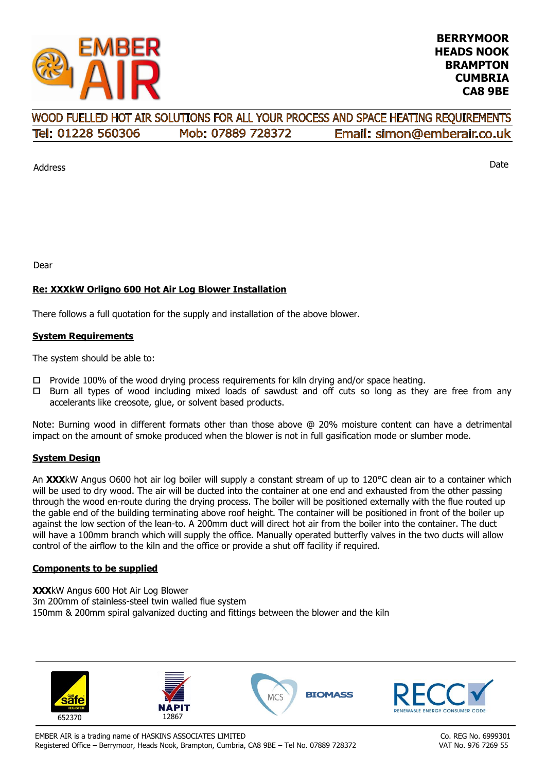

#### WOOD FUELLED HOT AIR SOLUTIONS FOR ALL YOUR PROCESS AND SPACE HEATING REOUIREMENTS Tel: 01228 560306 Mob: 07889 728372 Email: simon@emberair.co.uk

Address

Date

Dear

## **Re: XXXkW Orligno 600 Hot Air Log Blower Installation**

There follows a full quotation for the supply and installation of the above blower.

### **System Requirements**

The system should be able to:

- $\Box$  Provide 100% of the wood drying process requirements for kiln drying and/or space heating.
- $\Box$  Burn all types of wood including mixed loads of sawdust and off cuts so long as they are free from any accelerants like creosote, glue, or solvent based products.

Note: Burning wood in different formats other than those above @ 20% moisture content can have a detrimental impact on the amount of smoke produced when the blower is not in full gasification mode or slumber mode.

#### **System Design**

An **XXX**kW Angus O600 hot air log boiler will supply a constant stream of up to 120°C clean air to a container which will be used to dry wood. The air will be ducted into the container at one end and exhausted from the other passing through the wood en-route during the drying process. The boiler will be positioned externally with the flue routed up the gable end of the building terminating above roof height. The container will be positioned in front of the boiler up against the low section of the lean-to. A 200mm duct will direct hot air from the boiler into the container. The duct will have a 100mm branch which will supply the office. Manually operated butterfly valves in the two ducts will allow control of the airflow to the kiln and the office or provide a shut off facility if required.

#### **Components to be supplied**

**XXX**kW Angus 600 Hot Air Log Blower 3m 200mm of stainless-steel twin walled flue system 150mm & 200mm spiral galvanized ducting and fittings between the blower and the kiln